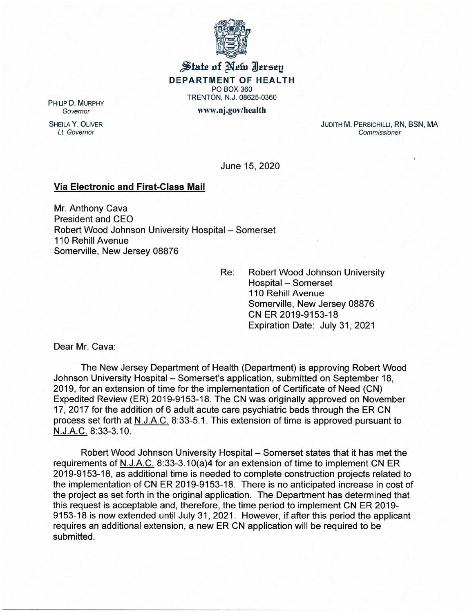

## State of New Jersey DEPARTMENT OF HEALTH PO BOX 360 TRENTON. N.J. 08625-0360

Governor www.nj .gov/health

PHILIP D. MURPHY

SHEILA Y. OLIVER Lt. Governor

JUDITH M. PERSICHILLI, RN, BSN. MA **Commissioner** 

June 15, 2020

## Via Electronic and First-Class Mail

Mr. Anthony Cava President and CEO Robert Wood Johnson University Hospital – Somerset 110 Rehill Avenue Somerville, New Jersey 08876

Re: Robert Wood Johnson University Hospital – Somerset 110 Rehill Avenue Somerville, New Jersey 08876 CN ER 2019-9153-18 Expiration Date: July 31, 2021

Dear Mr. Cava:

The New Jersey Department of Health (Department) is approving Robert Wood Johnson University Hospital – Somerset's application, submitted on September 18, 2019, for an extension of time for the implementation of Certificate of Need (CN) Expedited Review (ER) 2019-9153-18. The CN was originally approved on November 17, 2017 for the addition of 6 adult acute care psychiatric beds through the ER CN process set forth at N. J.A.C. 8:33-5.1. This extension of time is approved pursuant to N.J.A.C. 8:33-3.10

Robert Wood Johnson University Hospital – Somerset states that it has met the requirements of N. J.A.C. 8:33-3.10(a)4 for an extension of time to implement CN ER 2019-9153-18, as additional time is needed to complete construction projects related to the implementation of CN ER 2019-9153-18. There is no anticipated increase in cost of the project as set forth in the original application. The Department has determined that this request is acceptable and, therefore, the time period to implement CN ER 2019- 9153-18 is now extended until July 31, 2021. However, if after this period the applicant requires an additional extension, a new ER CN application will be required to be submitted.